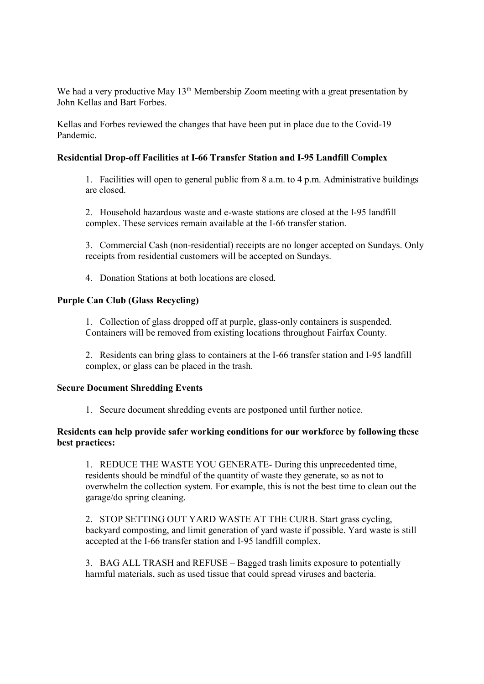We had a very productive May 13<sup>th</sup> Membership Zoom meeting with a great presentation by John Kellas and Bart Forbes.

Kellas and Forbes reviewed the changes that have been put in place due to the Covid-19 Pandemic.

## Residential Drop-off Facilities at I-66 Transfer Station and I-95 Landfill Complex

1. Facilities will open to general public from 8 a.m. to 4 p.m. Administrative buildings are closed.

2. Household hazardous waste and e-waste stations are closed at the I-95 landfill complex. These services remain available at the I-66 transfer station.

3. Commercial Cash (non-residential) receipts are no longer accepted on Sundays. Only receipts from residential customers will be accepted on Sundays.

4. Donation Stations at both locations are closed.

## Purple Can Club (Glass Recycling)

1. Collection of glass dropped off at purple, glass-only containers is suspended. Containers will be removed from existing locations throughout Fairfax County.

2. Residents can bring glass to containers at the I-66 transfer station and I-95 landfill complex, or glass can be placed in the trash.

## Secure Document Shredding Events

1. Secure document shredding events are postponed until further notice.

## Residents can help provide safer working conditions for our workforce by following these best practices:

1. REDUCE THE WASTE YOU GENERATE- During this unprecedented time, residents should be mindful of the quantity of waste they generate, so as not to overwhelm the collection system. For example, this is not the best time to clean out the garage/do spring cleaning.

2. STOP SETTING OUT YARD WASTE AT THE CURB. Start grass cycling, backyard composting, and limit generation of yard waste if possible. Yard waste is still accepted at the I-66 transfer station and I-95 landfill complex.

3. BAG ALL TRASH and REFUSE – Bagged trash limits exposure to potentially harmful materials, such as used tissue that could spread viruses and bacteria.